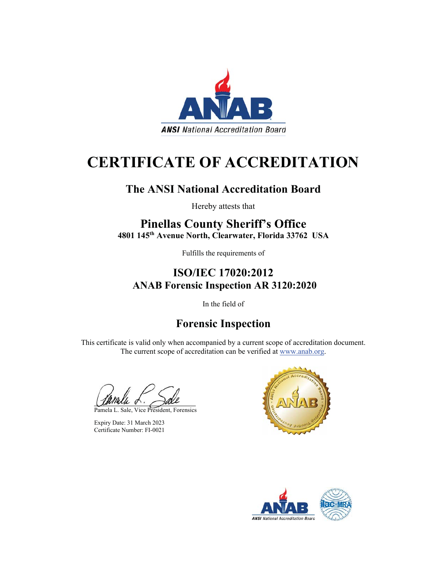

# **CERTIFICATE OF ACCREDITATION**

### **The ANSI National Accreditation Board**

Hereby attests that

## **Pinellas County Sheriff's Office**

**4801 145th Avenue North, Clearwater, Florida 33762 USA**

Fulfills the requirements of

### **ISO/IEC 17020:2012 ANAB Forensic Inspection AR 3120:2020**

In the field of

## **Forensic Inspection**

This certificate is valid only when accompanied by a current scope of accreditation document. The current scope of accreditation can be verified at www.anab.org.

Pamela L. Sale, Vice President, Forensics

Expiry Date: 31 March 2023 Certificate Number: FI-0021



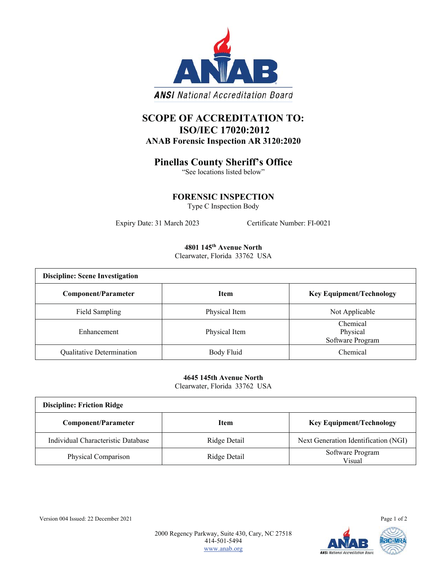

### **SCOPE OF ACCREDITATION TO: ISO/IEC 17020:2012 ANAB Forensic Inspection AR 3120:2020**

#### **Pinellas County Sheriff's Office**

"See locations listed below"

**FORENSIC INSPECTION**

Type C Inspection Body

Expiry Date: 31 March 2023 Certificate Number: FI-0021

#### **4801 145th Avenue North**

Clearwater, Florida 33762 USA

| <b>Discipline: Scene Investigation</b> |               |                                          |
|----------------------------------------|---------------|------------------------------------------|
| <b>Component/Parameter</b>             | <b>Item</b>   | <b>Key Equipment/Technology</b>          |
| Field Sampling                         | Physical Item | Not Applicable                           |
| Enhancement                            | Physical Item | Chemical<br>Physical<br>Software Program |
| Qualitative Determination              | Body Fluid    | Chemical                                 |

**4645 145th Avenue North** Clearwater, Florida 33762 USA

| <b>Discipline: Friction Ridge</b>  |              |                                      |  |
|------------------------------------|--------------|--------------------------------------|--|
| <b>Component/Parameter</b>         | <b>Item</b>  | <b>Key Equipment/Technology</b>      |  |
| Individual Characteristic Database | Ridge Detail | Next Generation Identification (NGI) |  |
| Physical Comparison                | Ridge Detail | Software Program<br>Visual           |  |

Version 004 Issued: 22 December 2021 Page 1 of 2

2000 Regency Parkway, Suite 430, Cary, NC 27518 414-501-5494 www.anab.org